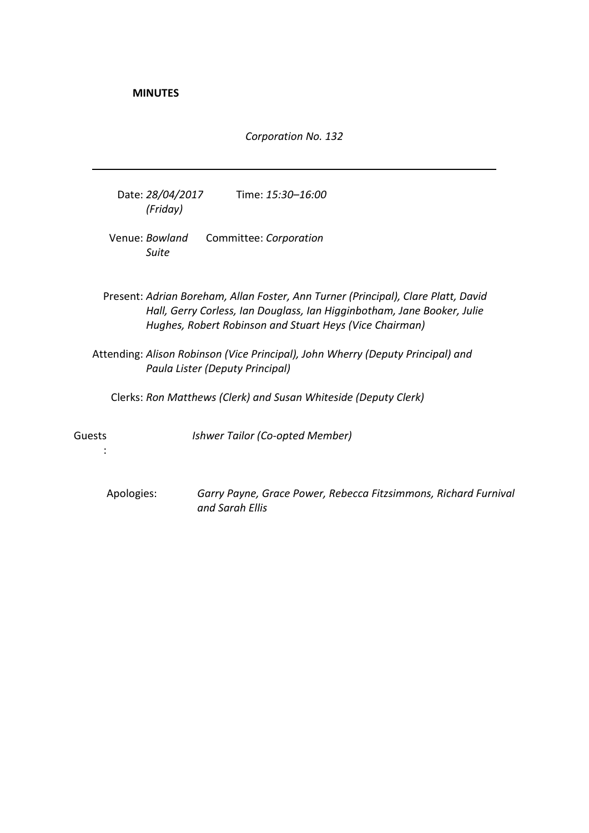**MINUTES**

*Corporation No. 132*

Date: *28/04/2017 (Friday)* Time: *15:30–16:00*

Venue: *Bowland Suite* Committee: *Corporation*

Present: *Adrian Boreham, Allan Foster, Ann Turner (Principal), Clare Platt, David Hall, Gerry Corless, Ian Douglass, Ian Higginbotham, Jane Booker, Julie Hughes, Robert Robinson and Stuart Heys (Vice Chairman)*

Attending: *Alison Robinson (Vice Principal), John Wherry (Deputy Principal) and Paula Lister (Deputy Principal)*

Clerks: *Ron Matthews (Clerk) and Susan Whiteside (Deputy Clerk)*

Guests

:

*Ishwer Tailor (Co-opted Member)*

Apologies: *Garry Payne, Grace Power, Rebecca Fitzsimmons, Richard Furnival and Sarah Ellis*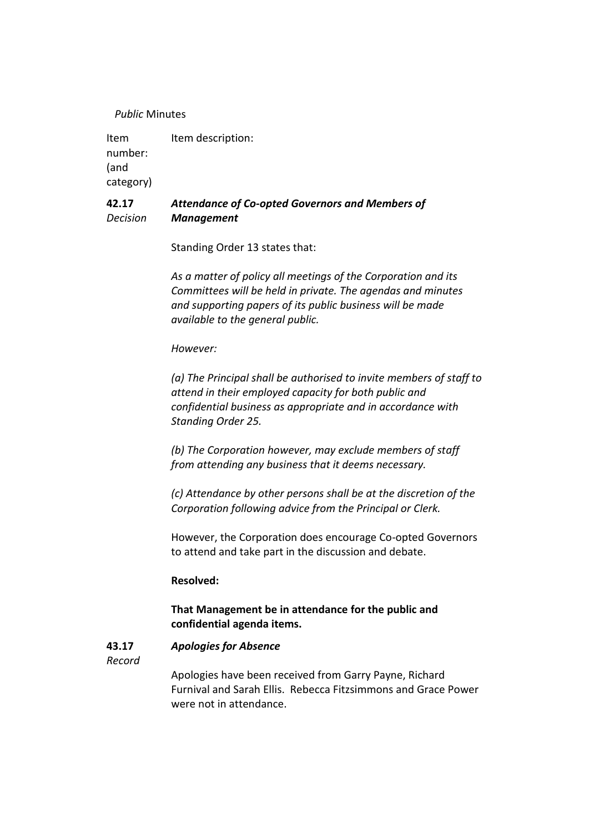### *Public* Minutes

Item number: (and category) Item description:

#### **42.17** *Decision Attendance of Co-opted Governors and Members of Management*

Standing Order 13 states that:

*As a matter of policy all meetings of the Corporation and its Committees will be held in private. The agendas and minutes and supporting papers of its public business will be made available to the general public.*

*However:*

*(a) The Principal shall be authorised to invite members of staff to attend in their employed capacity for both public and confidential business as appropriate and in accordance with Standing Order 25.*

*(b) The Corporation however, may exclude members of staff from attending any business that it deems necessary.*

*(c) Attendance by other persons shall be at the discretion of the Corporation following advice from the Principal or Clerk.*

However, the Corporation does encourage Co-opted Governors to attend and take part in the discussion and debate.

# **Resolved:**

# **That Management be in attendance for the public and confidential agenda items.**

#### **43.17** *Apologies for Absence*

*Record*

Apologies have been received from Garry Payne, Richard Furnival and Sarah Ellis. Rebecca Fitzsimmons and Grace Power were not in attendance.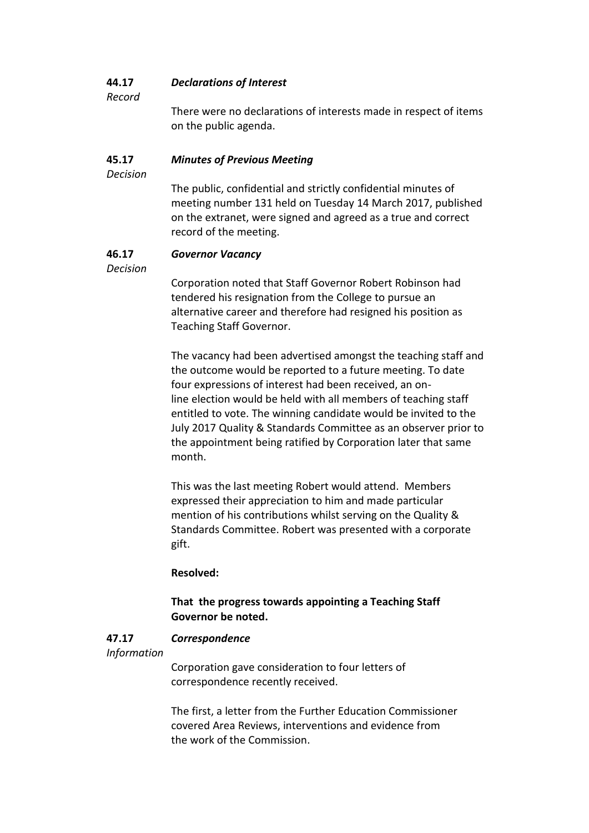#### **44.17** *Declarations of Interest*

*Record*

There were no declarations of interests made in respect of items on the public agenda.

#### **45.17** *Minutes of Previous Meeting*

*Decision*

The public, confidential and strictly confidential minutes of meeting number 131 held on Tuesday 14 March 2017, published on the extranet, were signed and agreed as a true and correct record of the meeting.

#### **46.17** *Governor Vacancy*

*Decision*

Corporation noted that Staff Governor Robert Robinson had tendered his resignation from the College to pursue an alternative career and therefore had resigned his position as Teaching Staff Governor.

The vacancy had been advertised amongst the teaching staff and the outcome would be reported to a future meeting. To date four expressions of interest had been received, an online election would be held with all members of teaching staff entitled to vote. The winning candidate would be invited to the July 2017 Quality & Standards Committee as an observer prior to the appointment being ratified by Corporation later that same month.

This was the last meeting Robert would attend. Members expressed their appreciation to him and made particular mention of his contributions whilst serving on the Quality & Standards Committee. Robert was presented with a corporate gift.

# **Resolved:**

# **That the progress towards appointing a Teaching Staff Governor be noted.**

#### **47.17** *Correspondence*

### *Information*

Corporation gave consideration to four letters of correspondence recently received.

The first, a letter from the Further Education Commissioner covered Area Reviews, interventions and evidence from the work of the Commission.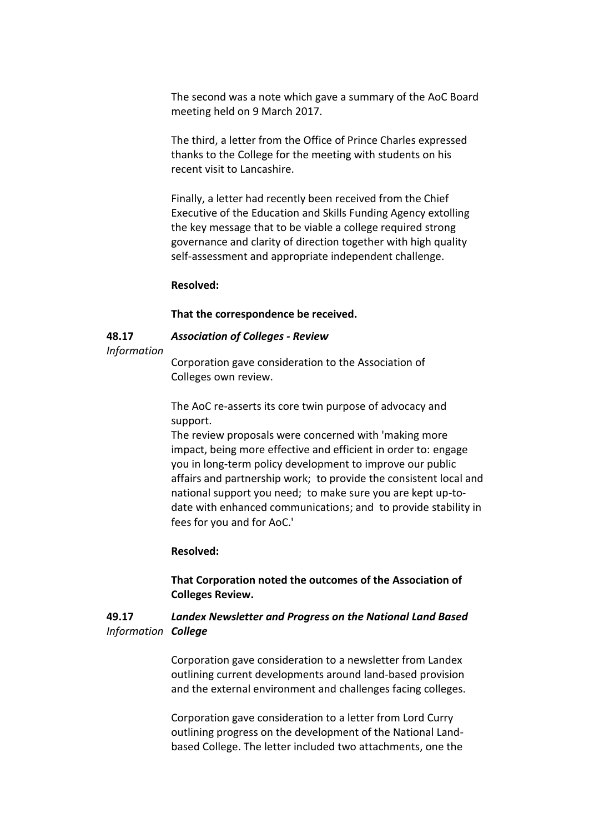The second was a note which gave a summary of the AoC Board meeting held on 9 March 2017.

The third, a letter from the Office of Prince Charles expressed thanks to the College for the meeting with students on his recent visit to Lancashire.

Finally, a letter had recently been received from the Chief Executive of the Education and Skills Funding Agency extolling the key message that to be viable a college required strong governance and clarity of direction together with high quality self-assessment and appropriate independent challenge.

### **Resolved:**

#### **That the correspondence be received.**

#### **48.17** *Association of Colleges - Review*

### *Information*

Corporation gave consideration to the Association of Colleges own review.

The AoC re-asserts its core twin purpose of advocacy and support.

The review proposals were concerned with 'making more impact, being more effective and efficient in order to: engage you in long-term policy development to improve our public affairs and partnership work; to provide the consistent local and national support you need; to make sure you are kept up-todate with enhanced communications; and to provide stability in fees for you and for AoC.'

### **Resolved:**

# **That Corporation noted the outcomes of the Association of Colleges Review.**

#### **49.17** *Information College Landex Newsletter and Progress on the National Land Based*

Corporation gave consideration to a newsletter from Landex outlining current developments around land-based provision and the external environment and challenges facing colleges.

Corporation gave consideration to a letter from Lord Curry outlining progress on the development of the National Landbased College. The letter included two attachments, one the